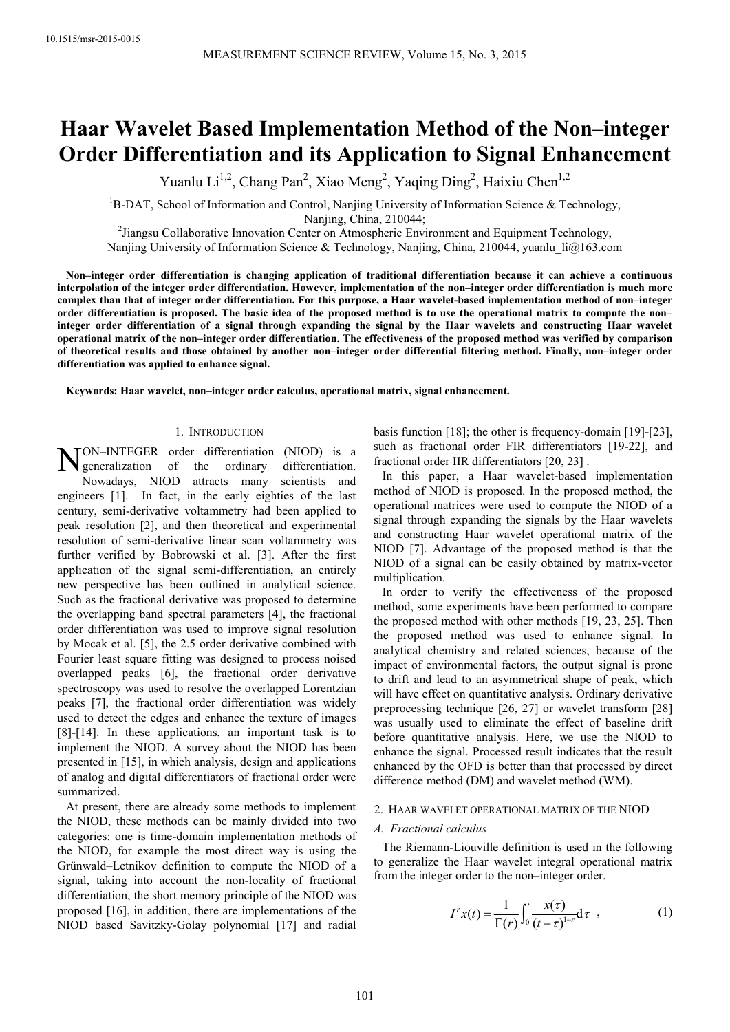# **Haar Wavelet Based Implementation Method of the Non–integer Order Differentiation and its Application to Signal Enhancement**

Yuanlu Li<sup>1,2</sup>, Chang Pan<sup>2</sup>, Xiao Meng<sup>2</sup>, Yaqing Ding<sup>2</sup>, Haixiu Chen<sup>1,2</sup>

 ${}^{1}B$ -DAT, School of Information and Control, Nanjing University of Information Science & Technology, Nanjing, China, 210044;

<sup>2</sup> Jiangsu Collaborative Innovation Center on Atmospheric Environment and Equipment Technology,

Nanjing University of Information Science & Technology, Nanjing, China, 210044, yuanlu  $\text{li}\textcircled{a}163$ .com

**Non–integer order differentiation is changing application of traditional differentiation because it can achieve a continuous interpolation of the integer order differentiation. However, implementation of the non–integer order differentiation is much more complex than that of integer order differentiation. For this purpose, a Haar wavelet-based implementation method of non–integer order differentiation is proposed. The basic idea of the proposed method is to use the operational matrix to compute the non– integer order differentiation of a signal through expanding the signal by the Haar wavelets and constructing Haar wavelet operational matrix of the non–integer order differentiation. The effectiveness of the proposed method was verified by comparison of theoretical results and those obtained by another non–integer order differential filtering method. Finally, non–integer order differentiation was applied to enhance signal.** 

**Keywords: Haar wavelet, non–integer order calculus, operational matrix, signal enhancement.** 

### 1. INTRODUCTION

ON–INTEGER order differentiation (NIOD) is a generalization of the ordinary differentiation. NON-INTEGER order differentiation (NIOD) is a generalization of the ordinary differentiation.<br>Nowadays, NIOD attracts many scientists and engineers [1]. In fact, in the early eighties of the last century, semi-derivative voltammetry had been applied to peak resolution [2], and then theoretical and experimental resolution of semi-derivative linear scan voltammetry was further verified by Bobrowski et al. [3]. After the first application of the signal semi-differentiation, an entirely new perspective has been outlined in analytical science. Such as the fractional derivative was proposed to determine the overlapping band spectral parameters [4], the fractional order differentiation was used to improve signal resolution by Mocak et al. [5], the 2.5 order derivative combined with Fourier least square fitting was designed to process noised overlapped peaks [6], the fractional order derivative spectroscopy was used to resolve the overlapped Lorentzian peaks [7], the fractional order differentiation was widely used to detect the edges and enhance the texture of images [8]-[14]. In these applications, an important task is to implement the NIOD. A survey about the NIOD has been presented in [15], in which analysis, design and applications of analog and digital differentiators of fractional order were summarized.

At present, there are already some methods to implement the NIOD, these methods can be mainly divided into two categories: one is time-domain implementation methods of the NIOD, for example the most direct way is using the Grünwald–Letnikov definition to compute the NIOD of a signal, taking into account the non-locality of fractional differentiation, the short memory principle of the NIOD was proposed [16], in addition, there are implementations of the NIOD based Savitzky-Golay polynomial [17] and radial basis function [18]; the other is frequency-domain [19]-[23], such as fractional order FIR differentiators [19-22], and fractional order IIR differentiators [20, 23] .

In this paper, a Haar wavelet-based implementation method of NIOD is proposed. In the proposed method, the operational matrices were used to compute the NIOD of a signal through expanding the signals by the Haar wavelets and constructing Haar wavelet operational matrix of the NIOD [7]. Advantage of the proposed method is that the NIOD of a signal can be easily obtained by matrix-vector multiplication.

In order to verify the effectiveness of the proposed method, some experiments have been performed to compare the proposed method with other methods [19, 23, 25]. Then the proposed method was used to enhance signal. In analytical chemistry and related sciences, because of the impact of environmental factors, the output signal is prone to drift and lead to an asymmetrical shape of peak, which will have effect on quantitative analysis. Ordinary derivative preprocessing technique [26, 27] or wavelet transform [28] was usually used to eliminate the effect of baseline drift before quantitative analysis. Here, we use the NIOD to enhance the signal. Processed result indicates that the result enhanced by the OFD is better than that processed by direct difference method (DM) and wavelet method (WM).

#### 2. HAAR WAVELET OPERATIONAL MATRIX OF THE NIOD

### *A. Fractional calculus*

The Riemann-Liouville definition is used in the following to generalize the Haar wavelet integral operational matrix from the integer order to the non–integer order.

$$
I^r x(t) = \frac{1}{\Gamma(r)} \int_0^t \frac{x(\tau)}{(t-\tau)^{1-r}} d\tau , \qquad (1)
$$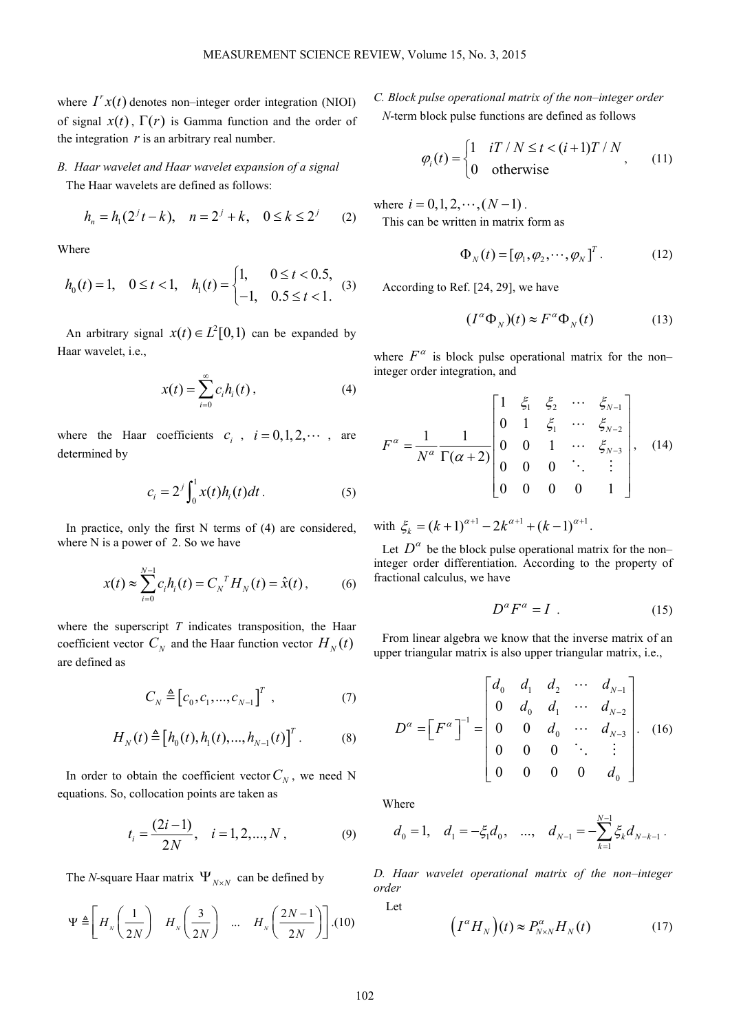where  $I^r x(t)$  denotes non–integer order integration (NIOI) of signal  $x(t)$ ,  $\Gamma(r)$  is Gamma function and the order of the integration  $r$  is an arbitrary real number.

# *B. Haar wavelet and Haar wavelet expansion of a signal*

The Haar wavelets are defined as follows:

$$
h_n = h_1(2^{j}t - k), \quad n = 2^{j} + k, \quad 0 \le k \le 2^{j}
$$
 (2)

Where

$$
h_0(t) = 1, \quad 0 \le t < 1, \quad h_1(t) = \begin{cases} 1, & 0 \le t < 0.5, \\ -1, & 0.5 \le t < 1. \end{cases}
$$
 (3)

An arbitrary signal  $x(t) \in L^2[0,1)$  can be expanded by Haar wavelet, i.e.,

$$
x(t) = \sum_{i=0}^{\infty} c_i h_i(t), \qquad (4)
$$

where the Haar coefficients  $c_i$ ,  $i = 0, 1, 2, \cdots$ , are determined by

$$
c_i = 2^j \int_0^1 x(t) h_i(t) dt.
$$
 (5)

In practice, only the first N terms of (4) are considered, where N is a power of 2. So we have

$$
x(t) \approx \sum_{i=0}^{N-1} c_i h_i(t) = C_N^T H_N(t) = \hat{x}(t), \quad (6)
$$

where the superscript *T* indicates transposition, the Haar coefficient vector  $C_N$  and the Haar function vector  $H_N(t)$ are defined as

$$
C_N \triangleq [c_0, c_1, ..., c_{N-1}]^T , \qquad (7)
$$

$$
H_N(t) \triangleq [h_0(t), h_1(t), ..., h_{N-1}(t)]^T.
$$
 (8)

In order to obtain the coefficient vector  $C_N$ , we need N equations. So, collocation points are taken as

$$
t_i = \frac{(2i-1)}{2N}, \quad i = 1, 2, \dots, N, \tag{9}
$$

The *N*-square Haar matrix  $\Psi_{N \times N}$  can be defined by

$$
\Psi \triangleq \left[ H_{N} \left( \frac{1}{2N} \right) \quad H_{N} \left( \frac{3}{2N} \right) \quad \dots \quad H_{N} \left( \frac{2N-1}{2N} \right) \right] . (10)
$$

*C. Block pulse operational matrix of the non–integer order N*-term block pulse functions are defined as follows

$$
\varphi_i(t) = \begin{cases} 1 & iT / N \le t < (i+1)T / N \\ 0 & \text{otherwise} \end{cases}
$$
\n(11)

where  $i = 0, 1, 2, \dots, (N-1)$ . This can be written in matrix form as

$$
\Phi_N(t) = [\varphi_1, \varphi_2, \cdots, \varphi_N]^T. \tag{12}
$$

According to Ref. [24, 29], we have

$$
(I^{\alpha} \Phi_N)(t) \approx F^{\alpha} \Phi_N(t) \tag{13}
$$

where  $F^{\alpha}$  is block pulse operational matrix for the noninteger order integration, and

$$
F^{\alpha} = \frac{1}{N^{\alpha}} \frac{1}{\Gamma(\alpha + 2)} \begin{bmatrix} 1 & \xi_1 & \xi_2 & \cdots & \xi_{N-1} \\ 0 & 1 & \xi_1 & \cdots & \xi_{N-2} \\ 0 & 0 & 1 & \cdots & \xi_{N-3} \\ 0 & 0 & 0 & \ddots & \vdots \\ 0 & 0 & 0 & 0 & 1 \end{bmatrix}, \quad (14)
$$

with  $\xi_k = (k+1)^{\alpha+1} - 2k^{\alpha+1} + (k-1)^{\alpha+1}$ .

Let  $D^{\alpha}$  be the block pulse operational matrix for the non– integer order differentiation. According to the property of fractional calculus, we have

$$
D^{\alpha}F^{\alpha} = I \tag{15}
$$

From linear algebra we know that the inverse matrix of an upper triangular matrix is also upper triangular matrix, i.e.,

$$
D^{\alpha} = \begin{bmatrix} F^{\alpha} \end{bmatrix}^{-1} = \begin{bmatrix} d_0 & d_1 & d_2 & \cdots & d_{N-1} \\ 0 & d_0 & d_1 & \cdots & d_{N-2} \\ 0 & 0 & d_0 & \cdots & d_{N-3} \\ 0 & 0 & 0 & \ddots & \vdots \\ 0 & 0 & 0 & 0 & d_0 \end{bmatrix} . \quad (16)
$$

Where

$$
d_0 = 1
$$
,  $d_1 = -\xi_1 d_0$ , ...,  $d_{N-1} = -\sum_{k=1}^{N-1} \xi_k d_{N-k-1}$ .

*D. Haar wavelet operational matrix of the non–integer order* 

Let

$$
(I^{\alpha}H_N)(t) \approx P^{\alpha}_{N \times N}H_N(t) \tag{17}
$$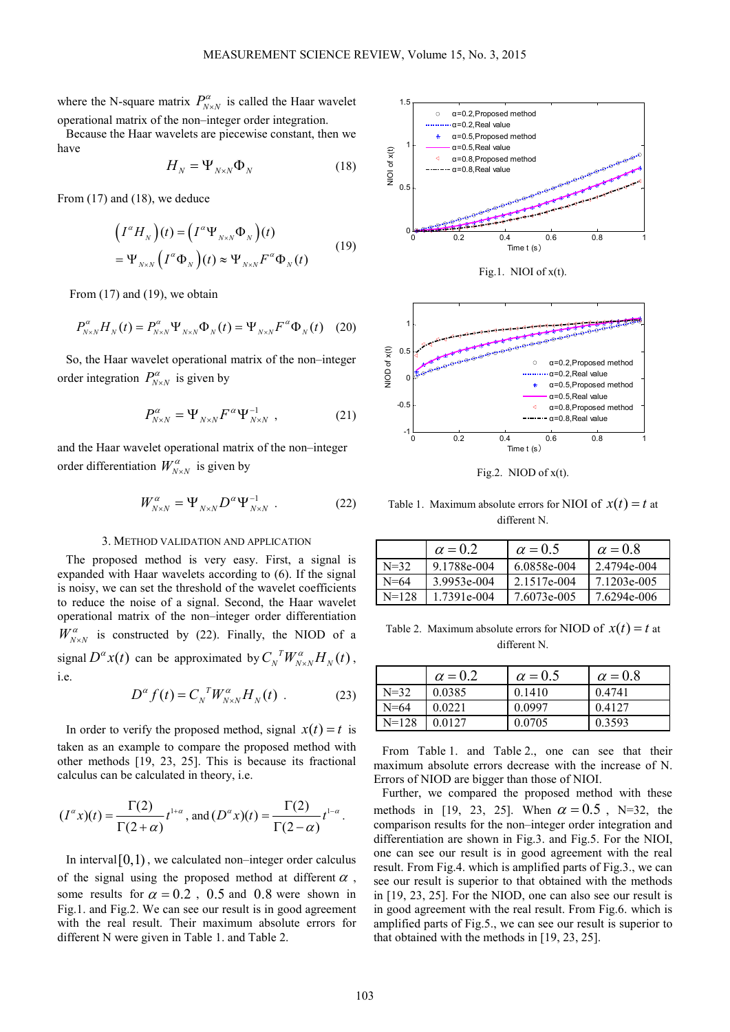where the N-square matrix  $P_{N \times N}^{\alpha}$  is called the Haar wavelet operational matrix of the non–integer order integration.

Because the Haar wavelets are piecewise constant, then we have

$$
H_N = \Psi_{N \times N} \Phi_N \tag{18}
$$

From (17) and (18), we deduce

$$
\left(I^{\alpha}H_{N}\right)(t) = \left(I^{\alpha}\Psi_{N\times N}\Phi_{N}\right)(t)
$$
\n
$$
= \Psi_{N\times N}\left(I^{\alpha}\Phi_{N}\right)(t) \approx \Psi_{N\times N}F^{\alpha}\Phi_{N}(t) \tag{19}
$$

From  $(17)$  and  $(19)$ , we obtain

$$
P_{N\times N}^{\alpha}H_N(t) = P_{N\times N}^{\alpha}\Psi_{N\times N}\Phi_N(t) = \Psi_{N\times N}F^{\alpha}\Phi_N(t)
$$
 (20)

So, the Haar wavelet operational matrix of the non–integer order integration  $P^{\alpha}_{N \times N}$  is given by

$$
P^{\alpha}_{N \times N} = \Psi_{N \times N} F^{\alpha} \Psi_{N \times N}^{-1} \t{,} \t(21)
$$

and the Haar wavelet operational matrix of the non–integer order differentiation  $W^{\alpha}_{N \times N}$  is given by

$$
W^{\alpha}_{N \times N} = \Psi_{N \times N} D^{\alpha} \Psi_{N \times N}^{-1} .
$$
 (22)

### 3. METHOD VALIDATION AND APPLICATION

The proposed method is very easy. First, a signal is expanded with Haar wavelets according to (6). If the signal is noisy, we can set the threshold of the wavelet coefficients to reduce the noise of a signal. Second, the Haar wavelet operational matrix of the non–integer order differentiation  $W_{N \times N}^{\alpha}$  is constructed by (22). Finally, the NIOD of a signal  $D^{\alpha}x(t)$  can be approximated by  $C_{N}^{T}W_{N\times N}^{\alpha}H_{N}(t)$ , i.e.

$$
D^{\alpha} f(t) = C_N^{\ \ T} W_{N \times N}^{\alpha} H_N(t) \tag{23}
$$

In order to verify the proposed method, signal  $x(t) = t$  is taken as an example to compare the proposed method with other methods [19, 23, 25]. This is because its fractional calculus can be calculated in theory, i.e.

$$
(I^{\alpha}x)(t) = \frac{\Gamma(2)}{\Gamma(2+\alpha)}t^{1+\alpha}, \text{ and } (D^{\alpha}x)(t) = \frac{\Gamma(2)}{\Gamma(2-\alpha)}t^{1-\alpha}.
$$

In interval  $[0,1)$ , we calculated non–integer order calculus of the signal using the proposed method at different  $\alpha$ , some results for  $\alpha = 0.2$ , 0.5 and 0.8 were shown in Fig.1. and Fig.2. We can see our result is in good agreement with the real result. Their maximum absolute errors for different N were given in Table 1. and Table 2.



Fig.1. NIOI of  $x(t)$ .



Fig.2. NIOD of x(t).

Table 1. Maximum absolute errors for NIOI of  $x(t) = t$  at different N.

|           | $\alpha = 0.2$ | $\alpha = 0.5$ | $\alpha = 0.8$ |
|-----------|----------------|----------------|----------------|
| $N=32$    | 9.1788e-004    | 6.0858e-004    | 2.4794e-004    |
| $N = 64$  | 3.9953e-004    | 2.1517e-004    | 7.1203e-005    |
| $N = 128$ | 1.7391e-004    | 7.6073e-005    | 7.6294e-006    |

Table 2. Maximum absolute errors for NIOD of  $x(t) = t$  at different N.

|          | $\alpha = 0.2$ | $\alpha = 0.5$ | $\alpha = 0.8$ |
|----------|----------------|----------------|----------------|
| $N = 32$ | 0.0385         | 0.1410         | 0.4741         |
| $N = 64$ | 0.0221         | 0.0997         | 0.4127         |
| $N=128$  | 0.0127         | 0.0705         | 0.3593         |

From Table 1. and Table 2., one can see that their maximum absolute errors decrease with the increase of N. Errors of NIOD are bigger than those of NIOI.

Further, we compared the proposed method with these methods in [19, 23, 25]. When  $\alpha = 0.5$ , N=32, the comparison results for the non–integer order integration and differentiation are shown in Fig.3. and Fig.5. For the NIOI, one can see our result is in good agreement with the real result. From Fig.4. which is amplified parts of Fig.3., we can see our result is superior to that obtained with the methods in [19, 23, 25]. For the NIOD, one can also see our result is in good agreement with the real result. From Fig.6. which is amplified parts of Fig.5., we can see our result is superior to that obtained with the methods in [19, 23, 25].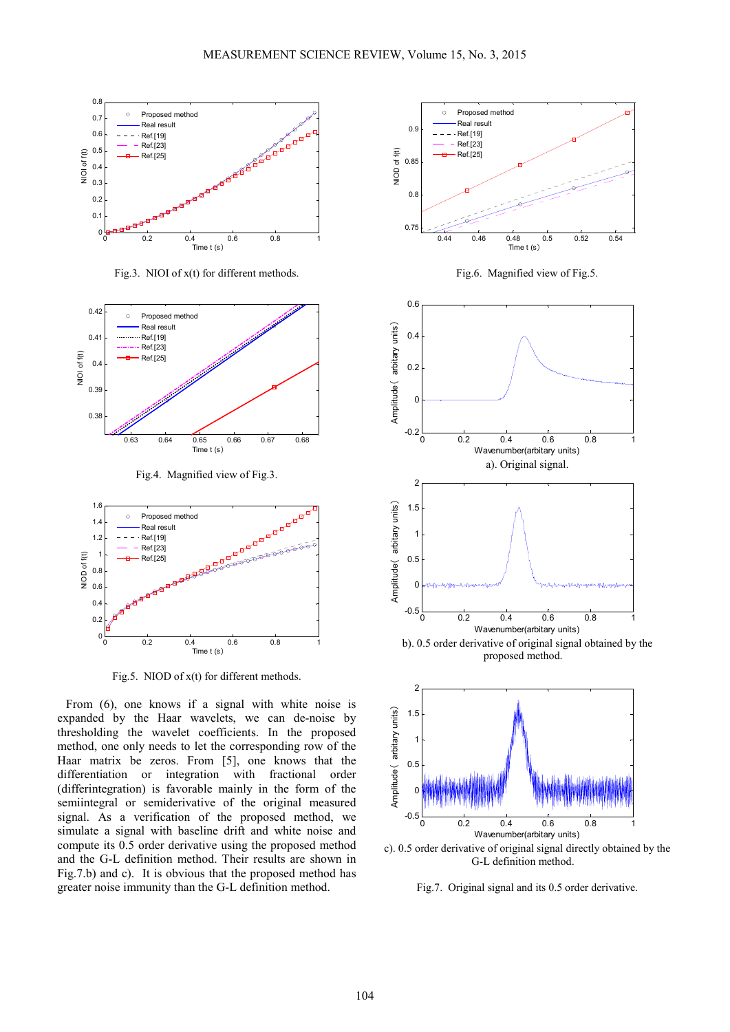

Fig.3. NIOI of x(t) for different methods.



Fig.4. Magnified view of Fig.3.



Fig.5. NIOD of  $x(t)$  for different methods.

From (6), one knows if a signal with white noise is expanded by the Haar wavelets, we can de-noise by thresholding the wavelet coefficients. In the proposed method, one only needs to let the corresponding row of the Haar matrix be zeros. From [5], one knows that the differentiation or integration with fractional order (differintegration) is favorable mainly in the form of the semiintegral or semiderivative of the original measured signal. As a verification of the proposed method, we simulate a signal with baseline drift and white noise and compute its 0.5 order derivative using the proposed method and the G-L definition method. Their results are shown in Fig.7.b) and c). It is obvious that the proposed method has greater noise immunity than the G-L definition method.



Fig.6. Magnified view of Fig.5.





c). 0.5 order derivative of original signal directly obtained by the G-L definition method.

Fig.7. Original signal and its 0.5 order derivative.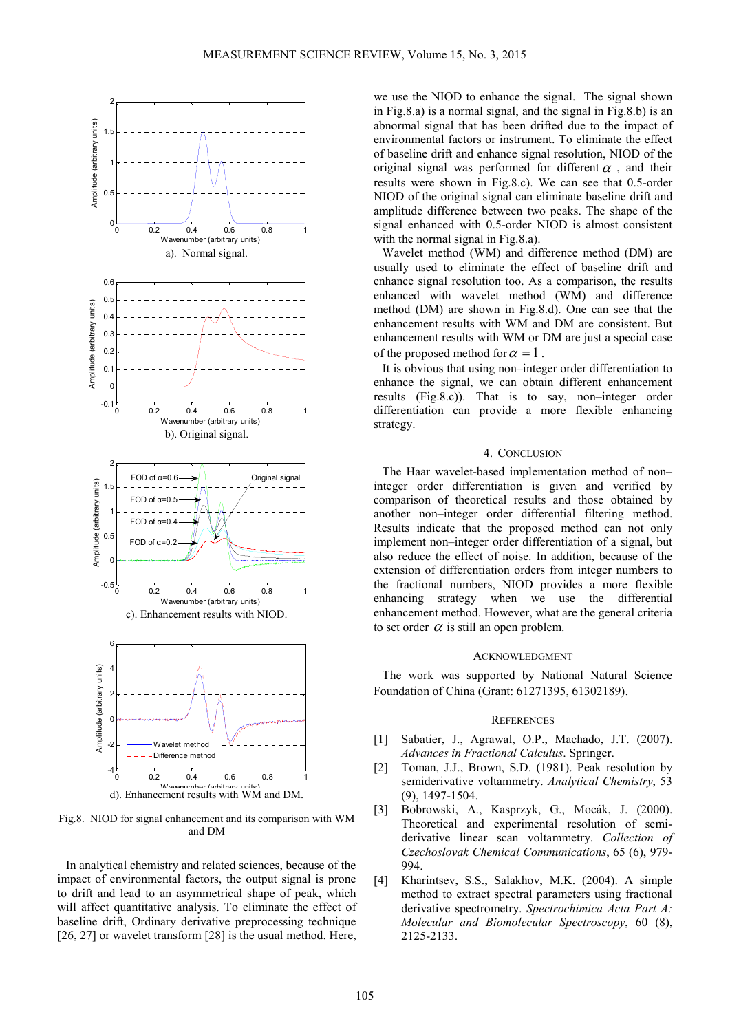

d). Enhancement results with WM and DM.

Fig.8. NIOD for signal enhancement and its comparison with WM and DM

In analytical chemistry and related sciences, because of the impact of environmental factors, the output signal is prone to drift and lead to an asymmetrical shape of peak, which will affect quantitative analysis. To eliminate the effect of baseline drift, Ordinary derivative preprocessing technique [26, 27] or wavelet transform [28] is the usual method. Here,

we use the NIOD to enhance the signal. The signal shown in Fig.8.a) is a normal signal, and the signal in Fig.8.b) is an abnormal signal that has been drifted due to the impact of environmental factors or instrument. To eliminate the effect of baseline drift and enhance signal resolution, NIOD of the original signal was performed for different  $\alpha$ , and their results were shown in Fig.8.c). We can see that 0.5-order NIOD of the original signal can eliminate baseline drift and amplitude difference between two peaks. The shape of the signal enhanced with 0.5-order NIOD is almost consistent with the normal signal in Fig.8.a).

Wavelet method (WM) and difference method (DM) are usually used to eliminate the effect of baseline drift and enhance signal resolution too. As a comparison, the results enhanced with wavelet method (WM) and difference method (DM) are shown in Fig.8.d). One can see that the enhancement results with WM and DM are consistent. But enhancement results with WM or DM are just a special case of the proposed method for  $\alpha = 1$ .

It is obvious that using non–integer order differentiation to enhance the signal, we can obtain different enhancement results (Fig.8.c)). That is to say, non–integer order differentiation can provide a more flexible enhancing strategy.

## 4. CONCLUSION

The Haar wavelet-based implementation method of non– integer order differentiation is given and verified by comparison of theoretical results and those obtained by another non–integer order differential filtering method. Results indicate that the proposed method can not only implement non–integer order differentiation of a signal, but also reduce the effect of noise. In addition, because of the extension of differentiation orders from integer numbers to the fractional numbers, NIOD provides a more flexible enhancing strategy when we use the differential enhancement method. However, what are the general criteria to set order  $\alpha$  is still an open problem.

### ACKNOWLEDGMENT

The work was supported by National Natural Science Foundation of China (Grant: 61271395, 61302189).

## **REFERENCES**

- [1] Sabatier, J., Agrawal, O.P., Machado, J.T. (2007). *Advances in Fractional Calculus*. Springer.
- [2] Toman, J.J., Brown, S.D. (1981). Peak resolution by semiderivative voltammetry. *Analytical Chemistry*, 53 (9), 1497-1504.
- [3] Bobrowski, A., Kasprzyk, G., Mocák, J. (2000). Theoretical and experimental resolution of semiderivative linear scan voltammetry. *Collection of Czechoslovak Chemical Communications*, 65 (6), 979- 994.
- [4] Kharintsev, S.S., Salakhov, M.K. (2004). A simple method to extract spectral parameters using fractional derivative spectrometry. *Spectrochimica Acta Part A: Molecular and Biomolecular Spectroscopy*, 60 (8), 2125-2133.